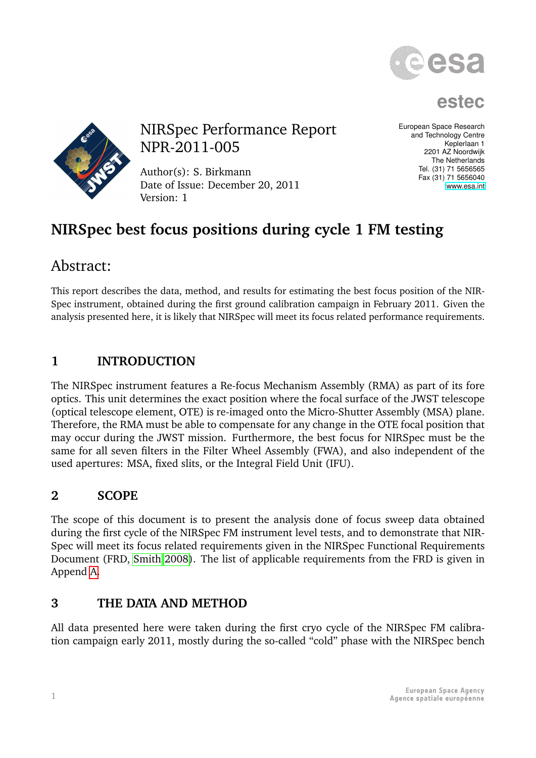

**estec**



NIRSpec Performance Report NPR-2011-005

Author(s): S. Birkmann Date of Issue: December 20, 2011 Version: 1

European Space Research and Technology Centre Keplerlaan 1 2201 AZ Noordwijk The Netherlands Tel. (31) 71 5656565 Fax (31) 71 5656040 [www.esa.int](http://www.esa.int)

# **NIRSpec best focus positions during cycle 1 FM testing**

# Abstract:

This report describes the data, method, and results for estimating the best focus position of the NIR-Spec instrument, obtained during the first ground calibration campaign in February 2011. Given the analysis presented here, it is likely that NIRSpec will meet its focus related performance requirements.

## **1 INTRODUCTION**

The NIRSpec instrument features a Re-focus Mechanism Assembly (RMA) as part of its fore optics. This unit determines the exact position where the focal surface of the JWST telescope (optical telescope element, OTE) is re-imaged onto the Micro-Shutter Assembly (MSA) plane. Therefore, the RMA must be able to compensate for any change in the OTE focal position that may occur during the JWST mission. Furthermore, the best focus for NIRSpec must be the same for all seven filters in the Filter Wheel Assembly (FWA), and also independent of the used apertures: MSA, fixed slits, or the Integral Field Unit (IFU).

## **2 SCOPE**

The scope of this document is to present the analysis done of focus sweep data obtained during the first cycle of the NIRSpec FM instrument level tests, and to demonstrate that NIR-Spec will meet its focus related requirements given in the NIRSpec Functional Requirements Document (FRD, [Smith 2008\)](#page-8-0). The list of applicable requirements from the FRD is given in Append [A.](#page-8-1)

### **3 THE DATA AND METHOD**

All data presented here were taken during the first cryo cycle of the NIRSpec FM calibration campaign early 2011, mostly during the so-called "cold" phase with the NIRSpec bench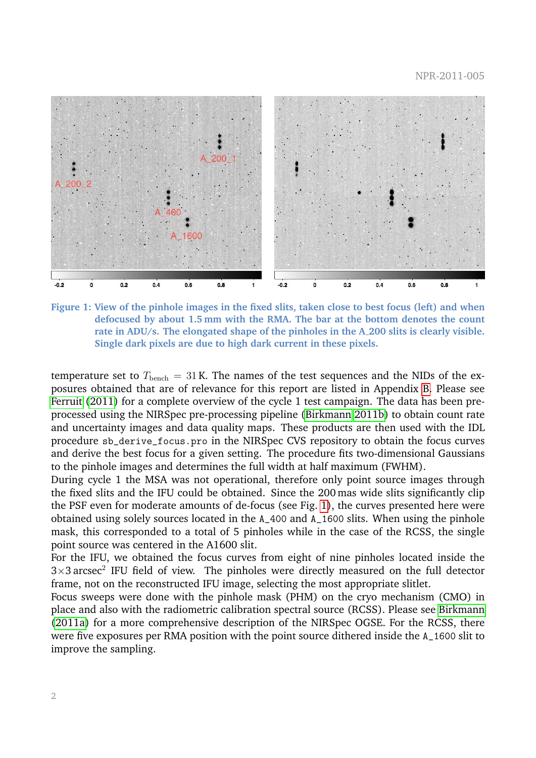

<span id="page-1-0"></span>**Figure 1: View of the pinhole images in the fixed slits, taken close to best focus (left) and when defocused by about 1.5 mm with the RMA. The bar at the bottom denotes the count rate in ADU/s. The elongated shape of the pinholes in the A 200 slits is clearly visible. Single dark pixels are due to high dark current in these pixels.**

temperature set to  $T_{\text{bench}} = 31$  K. The names of the test sequences and the NIDs of the exposures obtained that are of relevance for this report are listed in Appendix [B.](#page-8-2) Please see [Ferruit](#page-8-3) [\(2011\)](#page-8-3) for a complete overview of the cycle 1 test campaign. The data has been preprocessed using the NIRSpec pre-processing pipeline [\(Birkmann 2011b\)](#page-8-4) to obtain count rate and uncertainty images and data quality maps. These products are then used with the IDL procedure sb\_derive\_focus.pro in the NIRSpec CVS repository to obtain the focus curves and derive the best focus for a given setting. The procedure fits two-dimensional Gaussians to the pinhole images and determines the full width at half maximum (FWHM).

During cycle 1 the MSA was not operational, therefore only point source images through the fixed slits and the IFU could be obtained. Since the 200 mas wide slits significantly clip the PSF even for moderate amounts of de-focus (see Fig. [1\)](#page-1-0), the curves presented here were obtained using solely sources located in the A\_400 and A\_1600 slits. When using the pinhole mask, this corresponded to a total of 5 pinholes while in the case of the RCSS, the single point source was centered in the A1600 slit.

For the IFU, we obtained the focus curves from eight of nine pinholes located inside the  $3\times3$  arcsec<sup>2</sup> IFU field of view. The pinholes were directly measured on the full detector frame, not on the reconstructed IFU image, selecting the most appropriate slitlet.

Focus sweeps were done with the pinhole mask (PHM) on the cryo mechanism (CMO) in place and also with the radiometric calibration spectral source (RCSS). Please see [Birkmann](#page-7-0) [\(2011a\)](#page-7-0) for a more comprehensive description of the NIRSpec OGSE. For the RCSS, there were five exposures per RMA position with the point source dithered inside the A\_1600 slit to improve the sampling.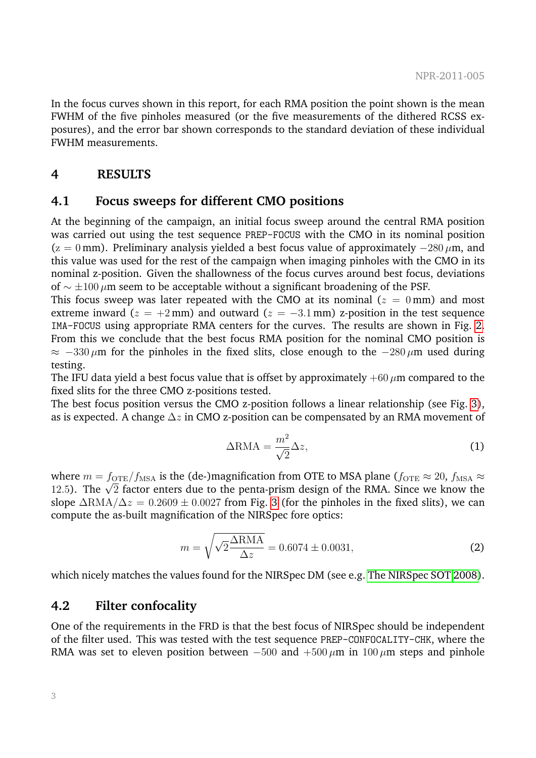In the focus curves shown in this report, for each RMA position the point shown is the mean FWHM of the five pinholes measured (or the five measurements of the dithered RCSS exposures), and the error bar shown corresponds to the standard deviation of these individual FWHM measurements.

#### **4 RESULTS**

#### **4.1 Focus sweeps for different CMO positions**

At the beginning of the campaign, an initial focus sweep around the central RMA position was carried out using the test sequence PREP-FOCUS with the CMO in its nominal position  $(z = 0$  mm). Preliminary analysis yielded a best focus value of approximately  $-280 \mu$ m, and this value was used for the rest of the campaign when imaging pinholes with the CMO in its nominal z-position. Given the shallowness of the focus curves around best focus, deviations of  $\sim \pm 100 \,\mu$ m seem to be acceptable without a significant broadening of the PSF.

This focus sweep was later repeated with the CMO at its nominal ( $z = 0$  mm) and most extreme inward ( $z = +2$  mm) and outward ( $z = -3.1$  mm) z-position in the test sequence IMA-FOCUS using appropriate RMA centers for the curves. The results are shown in Fig. [2.](#page-3-0) From this we conclude that the best focus RMA position for the nominal CMO position is  $\approx -330 \,\mu$ m for the pinholes in the fixed slits, close enough to the  $-280 \,\mu$ m used during testing.

The IFU data yield a best focus value that is offset by approximately  $+60 \mu m$  compared to the fixed slits for the three CMO z-positions tested.

The best focus position versus the CMO z-position follows a linear relationship (see Fig. [3\)](#page-4-0), as is expected. A change  $\Delta z$  in CMO z-position can be compensated by an RMA movement of

$$
\Delta \text{RMA} = \frac{m^2}{\sqrt{2}} \Delta z,\tag{1}
$$

where  $m = f_{\text{OTE}}/f_{\text{MSA}}$  is the (de-)magnification from OTE to MSA plane ( $f_{\text{OTE}} \approx 20$ ,  $f_{\text{MSA}} \approx$ where  $m = f_{\text{OTE}}/f_{\text{MSA}}$  is the (de-)magnincation from OTE to MSA plane ( $f_{\text{OTE}} \approx 20$ ,  $f_{\text{MSA}} \approx 12.5$ ). The  $\sqrt{2}$  factor enters due to the penta-prism design of the RMA. Since we know the slope  $\Delta$ RMA/ $\Delta z = 0.2609 \pm 0.0027$  from Fig. [3](#page-4-0) (for the pinholes in the fixed slits), we can compute the as-built magnification of the NIRSpec fore optics:

$$
m = \sqrt{\sqrt{2} \frac{\Delta \text{RMA}}{\Delta z}} = 0.6074 \pm 0.0031,
$$
 (2)

which nicely matches the values found for the NIRSpec DM (see e.g. [The NIRSpec SOT 2008\)](#page-8-5).

#### **4.2 Filter confocality**

One of the requirements in the FRD is that the best focus of NIRSpec should be independent of the filter used. This was tested with the test sequence PREP-CONFOCALITY-CHK, where the RMA was set to eleven position between  $-500$  and  $+500 \mu m$  in  $100 \mu m$  steps and pinhole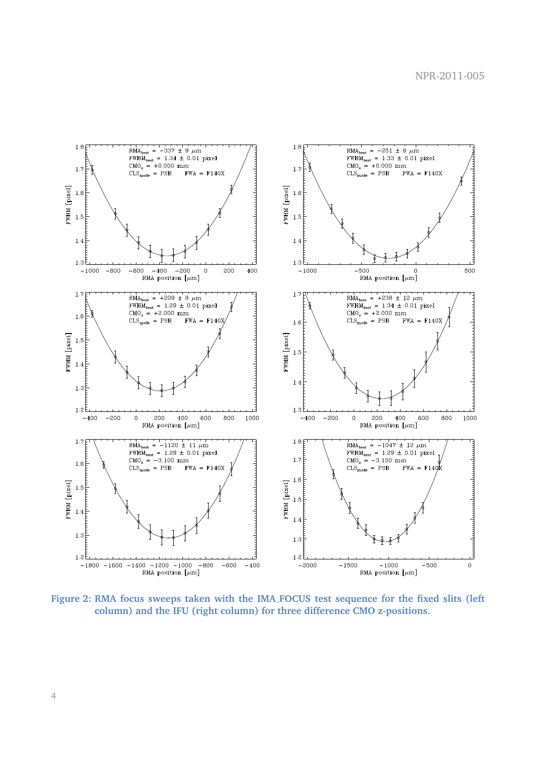

<span id="page-3-0"></span>**Figure 2: RMA focus sweeps taken with the IMA FOCUS test sequence for the fixed slits (left column) and the IFU (right column) for three difference CMO z-positions.**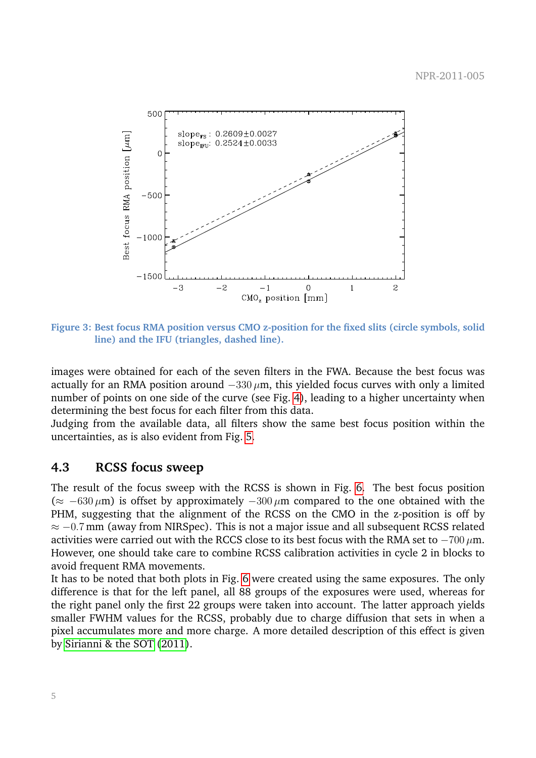

<span id="page-4-0"></span>**Figure 3: Best focus RMA position versus CMO z-position for the fixed slits (circle symbols, solid line) and the IFU (triangles, dashed line).**

images were obtained for each of the seven filters in the FWA. Because the best focus was actually for an RMA position around  $-330 \mu m$ , this yielded focus curves with only a limited number of points on one side of the curve (see Fig. [4\)](#page-5-0), leading to a higher uncertainty when determining the best focus for each filter from this data.

Judging from the available data, all filters show the same best focus position within the uncertainties, as is also evident from Fig. [5.](#page-6-0)

#### **4.3 RCSS focus sweep**

The result of the focus sweep with the RCSS is shown in Fig. [6.](#page-6-1) The best focus position  $(\approx -630 \,\mu\text{m})$  is offset by approximately  $-300 \,\mu\text{m}$  compared to the one obtained with the PHM, suggesting that the alignment of the RCSS on the CMO in the z-position is off by  $\approx$  -0.7 mm (away from NIRSpec). This is not a major issue and all subsequent RCSS related activities were carried out with the RCCS close to its best focus with the RMA set to  $-700 \,\mu m$ . However, one should take care to combine RCSS calibration activities in cycle 2 in blocks to avoid frequent RMA movements.

It has to be noted that both plots in Fig. [6](#page-6-1) were created using the same exposures. The only difference is that for the left panel, all 88 groups of the exposures were used, whereas for the right panel only the first 22 groups were taken into account. The latter approach yields smaller FWHM values for the RCSS, probably due to charge diffusion that sets in when a pixel accumulates more and more charge. A more detailed description of this effect is given by [Sirianni & the SOT](#page-8-6) [\(2011\)](#page-8-6).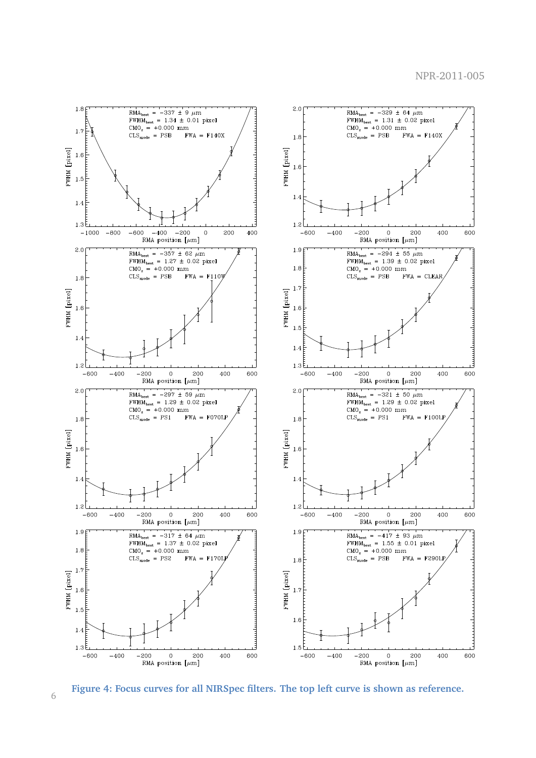

<span id="page-5-0"></span>**Figure 4: Focus curves for all NIRSpec filters. The top left curve is shown as reference.**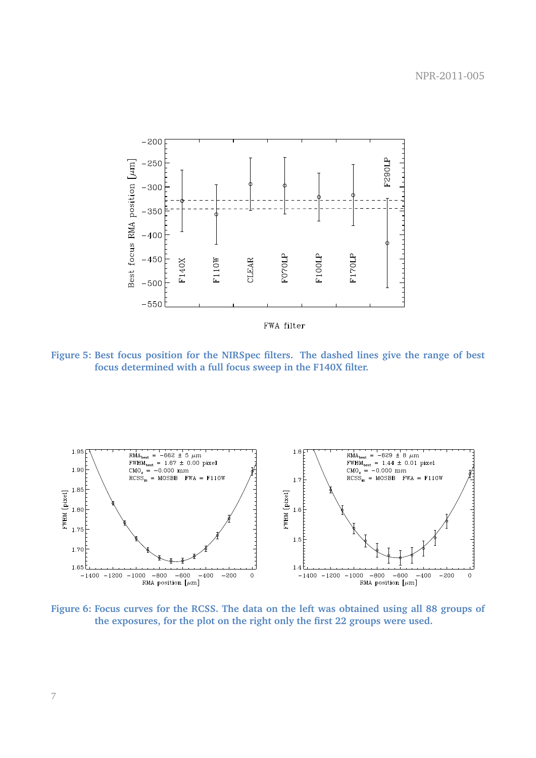

<span id="page-6-0"></span>**Figure 5: Best focus position for the NIRSpec filters. The dashed lines give the range of best focus determined with a full focus sweep in the F140X filter.**



<span id="page-6-1"></span>**Figure 6: Focus curves for the RCSS. The data on the left was obtained using all 88 groups of the exposures, for the plot on the right only the first 22 groups were used.**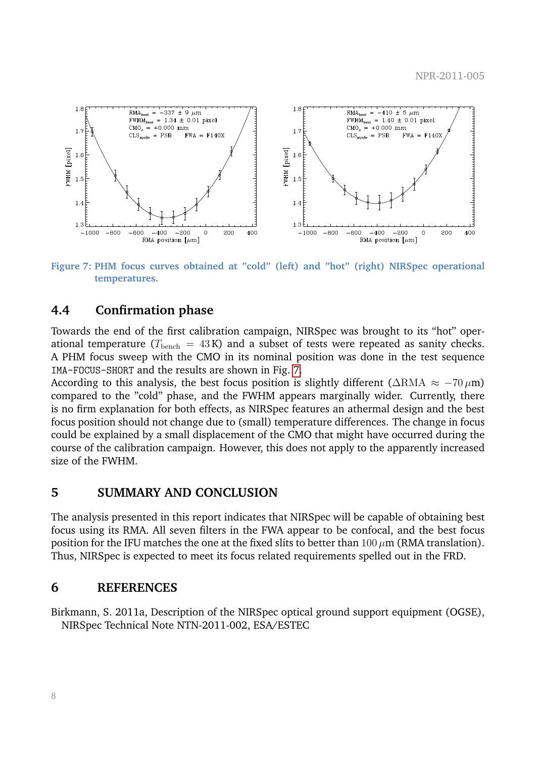

<span id="page-7-1"></span>**Figure 7: PHM focus curves obtained at "cold" (left) and "hot" (right) NIRSpec operational temperatures.**

#### **4.4 Confirmation phase**

Towards the end of the first calibration campaign, NIRSpec was brought to its "hot" operational temperature ( $T_{\text{bench}} = 43 \text{ K}$ ) and a subset of tests were repeated as sanity checks. A PHM focus sweep with the CMO in its nominal position was done in the test sequence IMA-FOCUS-SHORT and the results are shown in Fig. [7.](#page-7-1)

According to this analysis, the best focus position is slightly different ( $\triangle$ RMA  $\approx -70 \,\mu$ m) compared to the "cold" phase, and the FWHM appears marginally wider. Currently, there is no firm explanation for both effects, as NIRSpec features an athermal design and the best focus position should not change due to (small) temperature differences. The change in focus could be explained by a small displacement of the CMO that might have occurred during the course of the calibration campaign. However, this does not apply to the apparently increased size of the FWHM.

#### **5 SUMMARY AND CONCLUSION**

The analysis presented in this report indicates that NIRSpec will be capable of obtaining best focus using its RMA. All seven filters in the FWA appear to be confocal, and the best focus position for the IFU matches the one at the fixed slits to better than  $100 \,\mu$ m (RMA translation). Thus, NIRSpec is expected to meet its focus related requirements spelled out in the FRD.

#### **6 REFERENCES**

<span id="page-7-0"></span>Birkmann, S. 2011a, Description of the NIRSpec optical ground support equipment (OGSE), NIRSpec Technical Note NTN-2011-002, ESA/ESTEC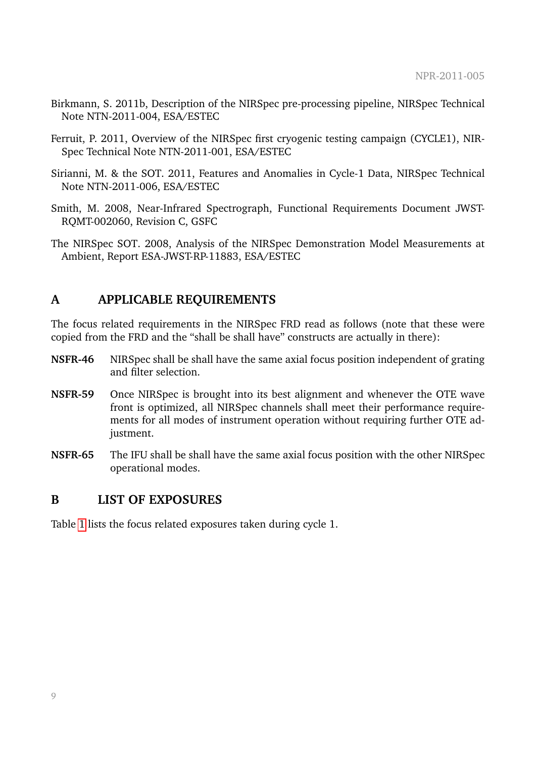- <span id="page-8-4"></span>Birkmann, S. 2011b, Description of the NIRSpec pre-processing pipeline, NIRSpec Technical Note NTN-2011-004, ESA/ESTEC
- <span id="page-8-3"></span>Ferruit, P. 2011, Overview of the NIRSpec first cryogenic testing campaign (CYCLE1), NIR-Spec Technical Note NTN-2011-001, ESA/ESTEC
- <span id="page-8-6"></span>Sirianni, M. & the SOT. 2011, Features and Anomalies in Cycle-1 Data, NIRSpec Technical Note NTN-2011-006, ESA/ESTEC
- <span id="page-8-0"></span>Smith, M. 2008, Near-Infrared Spectrograph, Functional Requirements Document JWST-RQMT-002060, Revision C, GSFC
- <span id="page-8-5"></span>The NIRSpec SOT. 2008, Analysis of the NIRSpec Demonstration Model Measurements at Ambient, Report ESA-JWST-RP-11883, ESA/ESTEC

### <span id="page-8-1"></span>**A APPLICABLE REQUIREMENTS**

The focus related requirements in the NIRSpec FRD read as follows (note that these were copied from the FRD and the "shall be shall have" constructs are actually in there):

- **NSFR-46** NIRSpec shall be shall have the same axial focus position independent of grating and filter selection.
- **NSFR-59** Once NIRSpec is brought into its best alignment and whenever the OTE wave front is optimized, all NIRSpec channels shall meet their performance requirements for all modes of instrument operation without requiring further OTE adjustment.
- **NSFR-65** The IFU shall be shall have the same axial focus position with the other NIRSpec operational modes.

#### <span id="page-8-2"></span>**B LIST OF EXPOSURES**

Table [1](#page-9-0) lists the focus related exposures taken during cycle 1.